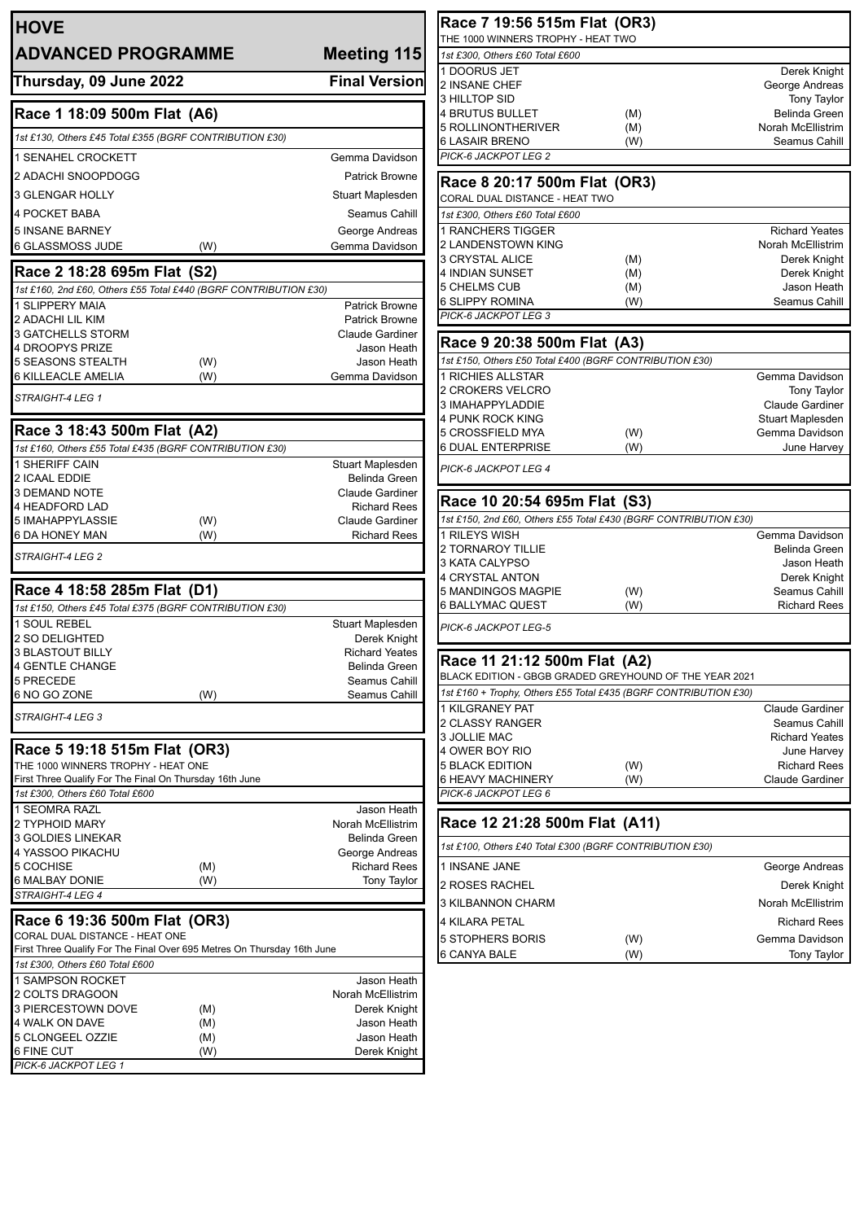| <b>HOVE</b>                                                             | Race 7 19:<br>THE 1000 WINN                                   |  |
|-------------------------------------------------------------------------|---------------------------------------------------------------|--|
| <b>ADVANCED PROGRAMME</b>                                               | Meeting 115<br>1st £300, Others                               |  |
| Thursday, 09 June 2022                                                  | 1 DOORUS JE<br><b>Final Version</b>                           |  |
|                                                                         | <b>2 INSANE CHE</b><br><b>3 HILLTOP SID</b>                   |  |
| Race 1 18:09 500m Flat (A6)                                             | <b>4 BRUTUS BU</b>                                            |  |
| 1st £130, Others £45 Total £355 (BGRF CONTRIBUTION £30)                 | 5 ROLLINONT                                                   |  |
|                                                                         | 6 LASAIR BRE<br>PICK-6 JACKPC                                 |  |
| <b>1 SENAHEL CROCKETT</b>                                               | Gemma Davidson                                                |  |
| 2 ADACHI SNOOPDOGG                                                      | <b>Patrick Browne</b><br><b>Race 8 20:</b>                    |  |
| 3 GLENGAR HOLLY                                                         | Stuart Maplesden<br>CORAL DUAL D                              |  |
| <b>4 POCKET BABA</b>                                                    | Seamus Cahill<br>1st £300, Others                             |  |
| <b>5 INSANE BARNEY</b>                                                  | 1 RANCHERS<br>George Andreas<br>2 LANDENSTC<br>Gemma Davidson |  |
| 6 GLASSMOSS JUDE<br>(W)                                                 | <b>3 CRYSTAL AL</b>                                           |  |
| Race 2 18:28 695m Flat (S2)                                             | <b>4 INDIAN SUN</b>                                           |  |
| 1st £160, 2nd £60, Others £55 Total £440 (BGRF CONTRIBUTION £30)        | 5 CHELMS CU                                                   |  |
| 1 SLIPPERY MAIA                                                         | 6 SLIPPY ROM<br><b>Patrick Browne</b><br>PICK-6 JACKPC        |  |
| 2 ADACHI LIL KIM<br><b>3 GATCHELLS STORM</b>                            | <b>Patrick Browne</b><br>Claude Gardiner                      |  |
| 4 DROOPYS PRIZE                                                         | <b>Race 9 20</b><br>Jason Heath                               |  |
| <b>5 SEASONS STEALTH</b><br>(W)                                         | 1st £150, Others<br>Jason Heath                               |  |
| 6 KILLEACLE AMELIA<br>(W)                                               | 1 RICHIES ALI<br>Gemma Davidson                               |  |
| STRAIGHT-4 LEG 1                                                        | 2 CROKERS V                                                   |  |
|                                                                         | 3 IMAHAPPYL<br><b>4 PUNK ROCK</b>                             |  |
| Race 3 18:43 500m Flat (A2)                                             | 5 CROSSFIELI                                                  |  |
| 1st £160, Others £55 Total £435 (BGRF CONTRIBUTION £30)                 | <b>6 DUAL ENTER</b>                                           |  |
| 1 SHERIFF CAIN                                                          | Stuart Maplesden<br>PICK-6 JACKPC                             |  |
| 2 ICAAL EDDIE                                                           | Belinda Green                                                 |  |
| 3 DEMAND NOTE<br>4 HEADFORD LAD                                         | <b>Claude Gardiner</b><br>Race 10 2<br><b>Richard Rees</b>    |  |
| (W)<br>5 IMAHAPPYLASSIE                                                 | 1st £150, 2nd £6<br>Claude Gardiner                           |  |
| 6 DA HONEY MAN<br>(W)                                                   | <b>Richard Rees</b><br>1 RILEYS WIS                           |  |
| STRAIGHT-4 LEG 2                                                        | 2 TORNAROY                                                    |  |
|                                                                         | 3 KATA CALYP<br>4 CRYSTAL AN                                  |  |
| Race 4 18:58 285m Flat (D1)                                             | 5 MANDINGOS                                                   |  |
| 1st £150, Others £45 Total £375 (BGRF CONTRIBUTION £30)                 | 6 BALLYMAC 0                                                  |  |
| 1 SOUL REBEL                                                            | Stuart Maplesden<br>PICK-6 JACKPC                             |  |
| <b>2 SO DELIGHTED</b><br><b>3 BLASTOUT BILLY</b>                        | Derek Knight<br><b>Richard Yeates</b>                         |  |
| 4 GENTLE CHANGE                                                         | Race 11 2<br>Belinda Green                                    |  |
| 5 PRECEDE                                                               | <b>BLACK EDITION</b><br>Seamus Cahill                         |  |
| 6 NO GO ZONE<br>(W)                                                     | 1st £160 + Troph<br>Seamus Cahill                             |  |
| STRAIGHT-4 LEG 3                                                        | 1 KILGRANEY                                                   |  |
|                                                                         | 2 CLASSY RAI<br>3 JOLLIE MAC                                  |  |
| Race 5 19:18 515m Flat (OR3)                                            | 4 OWER BOY                                                    |  |
| THE 1000 WINNERS TROPHY - HEAT ONE                                      | <b>5 BLACK EDIT</b>                                           |  |
| First Three Qualify For The Final On Thursday 16th June                 | 6 HEAVY MAC                                                   |  |
| 1st £300, Others £60 Total £600                                         | PICK-6 JACKPC                                                 |  |
| 1 SEOMRA RAZL<br>2 TYPHOID MARY                                         | Jason Heath<br>Race 12 2<br>Norah McEllistrim                 |  |
| <b>3 GOLDIES LINEKAR</b>                                                | Belinda Green                                                 |  |
| 4 YASSOO PIKACHU                                                        | 1st £100, Others<br>George Andreas                            |  |
| 5 COCHISE<br>(M)                                                        | <b>Richard Rees</b><br>1 INSANE JAN                           |  |
| 6 MALBAY DONIE<br>(W)                                                   | <b>Tony Taylor</b><br>2 ROSES RAC                             |  |
| STRAIGHT-4 LEG 4                                                        | 3 KILBANNON                                                   |  |
| Race 6 19:36 500m Flat (OR3)                                            | 4 KILARA PET                                                  |  |
| CORAL DUAL DISTANCE - HEAT ONE                                          | 5 STOPHERS                                                    |  |
| First Three Qualify For The Final Over 695 Metres On Thursday 16th June | 6 CANYA BALE                                                  |  |
| 1st £300, Others £60 Total £600                                         |                                                               |  |
| 1 SAMPSON ROCKET                                                        | Jason Heath                                                   |  |
| 2 COLTS DRAGOON<br>3 PIERCESTOWN DOVE<br>(M)                            | Norah McEllistrim<br>Derek Knight                             |  |
| 4 WALK ON DAVE<br>(M)                                                   | Jason Heath                                                   |  |
| 5 CLONGEEL OZZIE<br>(M)                                                 | Jason Heath                                                   |  |
|                                                                         |                                                               |  |
| 6 FINE CUT<br>(W)<br>PICK-6 JACKPOT LEG 1                               | Derek Knight                                                  |  |

| Race 7 19:56 515m Flat (OR3)<br>THE 1000 WINNERS TROPHY - HEAT TWO        |            |                                    |
|---------------------------------------------------------------------------|------------|------------------------------------|
| 1st £300, Others £60 Total £600                                           |            |                                    |
| 1 DOORUS JET                                                              |            | Derek Knight                       |
| 2 INSANE CHEF                                                             |            | George Andreas                     |
| 3 HILLTOP SID                                                             |            | <b>Tony Taylor</b>                 |
| 4 BRUTUS BULLET                                                           | (M)        | Belinda Green                      |
| 5 ROLLINONTHERIVER                                                        | (M)        | Norah McEllistrim                  |
| 6 LASAIR BRENO                                                            | (W)        | Seamus Cahill                      |
| PICK-6 JACKPOT LEG 2                                                      |            |                                    |
| Race 8 20:17 500m Flat (OR3)                                              |            |                                    |
| CORAL DUAL DISTANCE - HEAT TWO                                            |            |                                    |
| 1st £300, Others £60 Total £600                                           |            |                                    |
| 1 RANCHERS TIGGER                                                         |            | <b>Richard Yeates</b>              |
| 2 LANDENSTOWN KING                                                        |            | Norah McEllistrim                  |
| 3 CRYSTAL ALICE                                                           | (M)        | Derek Knight                       |
| 4 INDIAN SUNSET                                                           | (M)        | Derek Knight                       |
| 5 CHELMS CUB                                                              | (M)        | Jason Heath                        |
| 6 SLIPPY ROMINA<br>PICK-6 JACKPOT LEG 3                                   | (W)        | Seamus Cahill                      |
|                                                                           |            |                                    |
| Race 9 20:38 500m Flat (A3)                                               |            |                                    |
| 1st £150, Others £50 Total £400 (BGRF CONTRIBUTION £30)                   |            |                                    |
| <b>1 RICHIES ALLSTAR</b>                                                  |            | Gemma Davidson                     |
| 2 CROKERS VELCRO                                                          |            | Tony Taylor                        |
| 3 IMAHAPPYLADDIE                                                          |            | Claude Gardiner                    |
| 4 PUNK ROCK KING<br>5 CROSSFIELD MYA                                      |            | Stuart Maplesden<br>Gemma Davidson |
| 6 DUAL ENTERPRISE                                                         | (W)<br>(W) | June Harvey                        |
|                                                                           |            |                                    |
| PICK-6 JACKPOT LEG 4                                                      |            |                                    |
| Race 10 20:54 695m Flat (S3)                                              |            |                                    |
| 1st £150, 2nd £60, Others £55 Total £430 (BGRF CONTRIBUTION £30)          |            |                                    |
| 1 RILEYS WISH                                                             |            | Gemma Davidson                     |
| 2 TORNAROY TILLIE                                                         |            | Belinda Green                      |
| 3 KATA CALYPSO                                                            |            | Jason Heath                        |
| 4 CRYSTAL ANTON                                                           |            | Derek Knight                       |
| 5 MANDINGOS MAGPIE                                                        | (W)        | Seamus Cahill                      |
| 6 BALLYMAC QUEST                                                          | (W)        | <b>Richard Rees</b>                |
| PICK-6 JACKPOT LEG-5                                                      |            |                                    |
| Race 11 21:12 500m Flat (A2)                                              |            |                                    |
| BLACK EDITION - GBGB GRADED GREYHOUND OF THE YEAR 2021                    |            |                                    |
| 1st £160 + Trophy, Others £55 Total £435 (BGRF CONTRIBUTION £30)          |            |                                    |
| 1 KILGRANEY PAT                                                           |            | <b>Claude Gardiner</b>             |
| 2 CLASSY RANGER                                                           |            | Seamus Cahill                      |
| 3 JOLLIE MAC                                                              |            | <b>Richard Yeates</b>              |
| 4 OWER BOY RIO                                                            |            | June Harvey                        |
| 5 BLACK EDITION                                                           | (W)        | <b>Richard Rees</b>                |
| 6 HEAVY MACHINERY                                                         | (W)        | <b>Claude Gardiner</b>             |
| PICK-6 JACKPOT LEG 6                                                      |            |                                    |
| Race 12 21:28 500m Flat (A11)                                             |            |                                    |
| 1st £100, Others £40 Total £300 (BGRF CONTRIBUTION £30)                   |            |                                    |
|                                                                           |            |                                    |
| 1 INSANE JANE                                                             |            | George Andreas                     |
|                                                                           |            |                                    |
|                                                                           |            | Derek Knight                       |
|                                                                           |            | Norah McEllistrim                  |
|                                                                           |            | <b>Richard Rees</b>                |
| 2 ROSES RACHEL<br>3 KILBANNON CHARM<br>4 KILARA PETAL<br>5 STOPHERS BORIS | (W)        | Gemma Davidson                     |
| 6 CANYA BALE                                                              | (W)        | <b>Tony Taylor</b>                 |